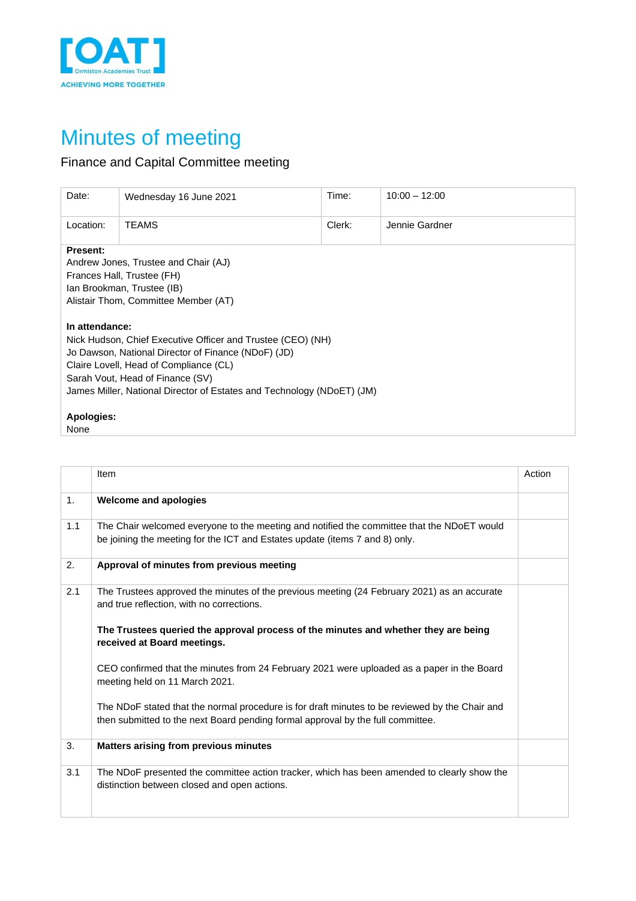

## Minutes of meeting

## Finance and Capital Committee meeting

| Date:                                                                                                                                                                                                                                                                                        | Wednesday 16 June 2021 | Time:  | $10:00 - 12:00$ |
|----------------------------------------------------------------------------------------------------------------------------------------------------------------------------------------------------------------------------------------------------------------------------------------------|------------------------|--------|-----------------|
| Location:                                                                                                                                                                                                                                                                                    | <b>TEAMS</b>           | Clerk: | Jennie Gardner  |
| <b>Present:</b><br>Andrew Jones, Trustee and Chair (AJ)<br>Frances Hall, Trustee (FH)<br>Ian Brookman, Trustee (IB)<br>Alistair Thom, Committee Member (AT)                                                                                                                                  |                        |        |                 |
| In attendance:<br>Nick Hudson, Chief Executive Officer and Trustee (CEO) (NH)<br>Jo Dawson, National Director of Finance (NDoF) (JD)<br>Claire Lovell, Head of Compliance (CL)<br>Sarah Vout, Head of Finance (SV)<br>James Miller, National Director of Estates and Technology (NDoET) (JM) |                        |        |                 |
| <b>Apologies:</b><br>None                                                                                                                                                                                                                                                                    |                        |        |                 |

|     | Item                                                                                                                                                                              | Action |
|-----|-----------------------------------------------------------------------------------------------------------------------------------------------------------------------------------|--------|
| 1.  | <b>Welcome and apologies</b>                                                                                                                                                      |        |
| 1.1 | The Chair welcomed everyone to the meeting and notified the committee that the NDoET would<br>be joining the meeting for the ICT and Estates update (items 7 and 8) only.         |        |
| 2.  | Approval of minutes from previous meeting                                                                                                                                         |        |
| 2.1 | The Trustees approved the minutes of the previous meeting (24 February 2021) as an accurate<br>and true reflection, with no corrections.                                          |        |
|     | The Trustees queried the approval process of the minutes and whether they are being<br>received at Board meetings.                                                                |        |
|     | CEO confirmed that the minutes from 24 February 2021 were uploaded as a paper in the Board<br>meeting held on 11 March 2021.                                                      |        |
|     | The NDoF stated that the normal procedure is for draft minutes to be reviewed by the Chair and<br>then submitted to the next Board pending formal approval by the full committee. |        |
| 3.  | <b>Matters arising from previous minutes</b>                                                                                                                                      |        |
| 3.1 | The NDoF presented the committee action tracker, which has been amended to clearly show the<br>distinction between closed and open actions.                                       |        |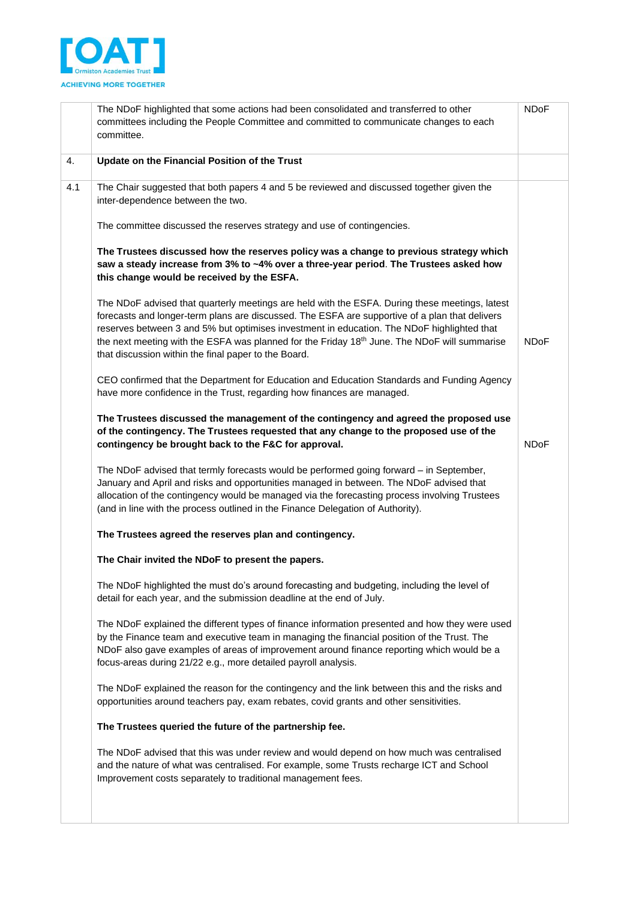

|     | The NDoF highlighted that some actions had been consolidated and transferred to other<br>committees including the People Committee and committed to communicate changes to each<br>committee.                                                                                                                                                                                                                                                          | <b>NDoF</b> |
|-----|--------------------------------------------------------------------------------------------------------------------------------------------------------------------------------------------------------------------------------------------------------------------------------------------------------------------------------------------------------------------------------------------------------------------------------------------------------|-------------|
| 4.  | Update on the Financial Position of the Trust                                                                                                                                                                                                                                                                                                                                                                                                          |             |
| 4.1 | The Chair suggested that both papers 4 and 5 be reviewed and discussed together given the<br>inter-dependence between the two.                                                                                                                                                                                                                                                                                                                         |             |
|     | The committee discussed the reserves strategy and use of contingencies.                                                                                                                                                                                                                                                                                                                                                                                |             |
|     | The Trustees discussed how the reserves policy was a change to previous strategy which<br>saw a steady increase from 3% to ~4% over a three-year period. The Trustees asked how<br>this change would be received by the ESFA.                                                                                                                                                                                                                          |             |
|     | The NDoF advised that quarterly meetings are held with the ESFA. During these meetings, latest<br>forecasts and longer-term plans are discussed. The ESFA are supportive of a plan that delivers<br>reserves between 3 and 5% but optimises investment in education. The NDoF highlighted that<br>the next meeting with the ESFA was planned for the Friday 18th June. The NDoF will summarise<br>that discussion within the final paper to the Board. | <b>NDoF</b> |
|     | CEO confirmed that the Department for Education and Education Standards and Funding Agency<br>have more confidence in the Trust, regarding how finances are managed.                                                                                                                                                                                                                                                                                   |             |
|     | The Trustees discussed the management of the contingency and agreed the proposed use<br>of the contingency. The Trustees requested that any change to the proposed use of the<br>contingency be brought back to the F&C for approval.                                                                                                                                                                                                                  | <b>NDoF</b> |
|     | The NDoF advised that termly forecasts would be performed going forward - in September,<br>January and April and risks and opportunities managed in between. The NDoF advised that<br>allocation of the contingency would be managed via the forecasting process involving Trustees<br>(and in line with the process outlined in the Finance Delegation of Authority).                                                                                 |             |
|     | The Trustees agreed the reserves plan and contingency.                                                                                                                                                                                                                                                                                                                                                                                                 |             |
|     | The Chair invited the NDoF to present the papers.                                                                                                                                                                                                                                                                                                                                                                                                      |             |
|     | The NDoF highlighted the must do's around forecasting and budgeting, including the level of<br>detail for each year, and the submission deadline at the end of July.                                                                                                                                                                                                                                                                                   |             |
|     | The NDoF explained the different types of finance information presented and how they were used<br>by the Finance team and executive team in managing the financial position of the Trust. The<br>NDoF also gave examples of areas of improvement around finance reporting which would be a<br>focus-areas during 21/22 e.g., more detailed payroll analysis.                                                                                           |             |
|     | The NDoF explained the reason for the contingency and the link between this and the risks and<br>opportunities around teachers pay, exam rebates, covid grants and other sensitivities.                                                                                                                                                                                                                                                                |             |
|     | The Trustees queried the future of the partnership fee.                                                                                                                                                                                                                                                                                                                                                                                                |             |
|     | The NDoF advised that this was under review and would depend on how much was centralised<br>and the nature of what was centralised. For example, some Trusts recharge ICT and School<br>Improvement costs separately to traditional management fees.                                                                                                                                                                                                   |             |
|     |                                                                                                                                                                                                                                                                                                                                                                                                                                                        |             |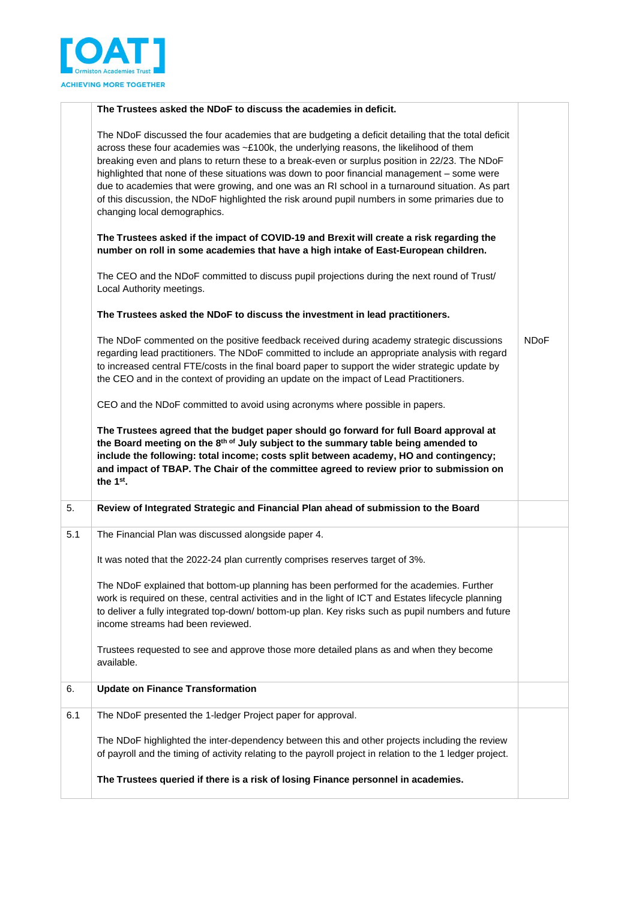

|     | The Trustees asked the NDoF to discuss the academies in deficit.                                                                                                                                                                                                                                                                                                                                                                                                                                                                                                                                                                     |             |
|-----|--------------------------------------------------------------------------------------------------------------------------------------------------------------------------------------------------------------------------------------------------------------------------------------------------------------------------------------------------------------------------------------------------------------------------------------------------------------------------------------------------------------------------------------------------------------------------------------------------------------------------------------|-------------|
|     | The NDoF discussed the four academies that are budgeting a deficit detailing that the total deficit<br>across these four academies was ~£100k, the underlying reasons, the likelihood of them<br>breaking even and plans to return these to a break-even or surplus position in 22/23. The NDoF<br>highlighted that none of these situations was down to poor financial management - some were<br>due to academies that were growing, and one was an RI school in a turnaround situation. As part<br>of this discussion, the NDoF highlighted the risk around pupil numbers in some primaries due to<br>changing local demographics. |             |
|     | The Trustees asked if the impact of COVID-19 and Brexit will create a risk regarding the<br>number on roll in some academies that have a high intake of East-European children.                                                                                                                                                                                                                                                                                                                                                                                                                                                      |             |
|     | The CEO and the NDoF committed to discuss pupil projections during the next round of Trust/<br>Local Authority meetings.                                                                                                                                                                                                                                                                                                                                                                                                                                                                                                             |             |
|     | The Trustees asked the NDoF to discuss the investment in lead practitioners.                                                                                                                                                                                                                                                                                                                                                                                                                                                                                                                                                         |             |
|     | The NDoF commented on the positive feedback received during academy strategic discussions<br>regarding lead practitioners. The NDoF committed to include an appropriate analysis with regard<br>to increased central FTE/costs in the final board paper to support the wider strategic update by<br>the CEO and in the context of providing an update on the impact of Lead Practitioners.                                                                                                                                                                                                                                           | <b>NDoF</b> |
|     | CEO and the NDoF committed to avoid using acronyms where possible in papers.                                                                                                                                                                                                                                                                                                                                                                                                                                                                                                                                                         |             |
|     | The Trustees agreed that the budget paper should go forward for full Board approval at<br>the Board meeting on the 8th of July subject to the summary table being amended to<br>include the following: total income; costs split between academy, HO and contingency;<br>and impact of TBAP. The Chair of the committee agreed to review prior to submission on<br>the 1 <sup>st</sup> .                                                                                                                                                                                                                                             |             |
| 5.  | Review of Integrated Strategic and Financial Plan ahead of submission to the Board                                                                                                                                                                                                                                                                                                                                                                                                                                                                                                                                                   |             |
| 5.1 | The Financial Plan was discussed alongside paper 4.                                                                                                                                                                                                                                                                                                                                                                                                                                                                                                                                                                                  |             |
|     | It was noted that the 2022-24 plan currently comprises reserves target of 3%.                                                                                                                                                                                                                                                                                                                                                                                                                                                                                                                                                        |             |
|     | The NDoF explained that bottom-up planning has been performed for the academies. Further<br>work is required on these, central activities and in the light of ICT and Estates lifecycle planning<br>to deliver a fully integrated top-down/bottom-up plan. Key risks such as pupil numbers and future<br>income streams had been reviewed.                                                                                                                                                                                                                                                                                           |             |
|     | Trustees requested to see and approve those more detailed plans as and when they become<br>available.                                                                                                                                                                                                                                                                                                                                                                                                                                                                                                                                |             |
| 6.  | <b>Update on Finance Transformation</b>                                                                                                                                                                                                                                                                                                                                                                                                                                                                                                                                                                                              |             |
| 6.1 | The NDoF presented the 1-ledger Project paper for approval.                                                                                                                                                                                                                                                                                                                                                                                                                                                                                                                                                                          |             |
|     | The NDoF highlighted the inter-dependency between this and other projects including the review<br>of payroll and the timing of activity relating to the payroll project in relation to the 1 ledger project.                                                                                                                                                                                                                                                                                                                                                                                                                         |             |
|     | The Trustees queried if there is a risk of losing Finance personnel in academies.                                                                                                                                                                                                                                                                                                                                                                                                                                                                                                                                                    |             |
|     |                                                                                                                                                                                                                                                                                                                                                                                                                                                                                                                                                                                                                                      |             |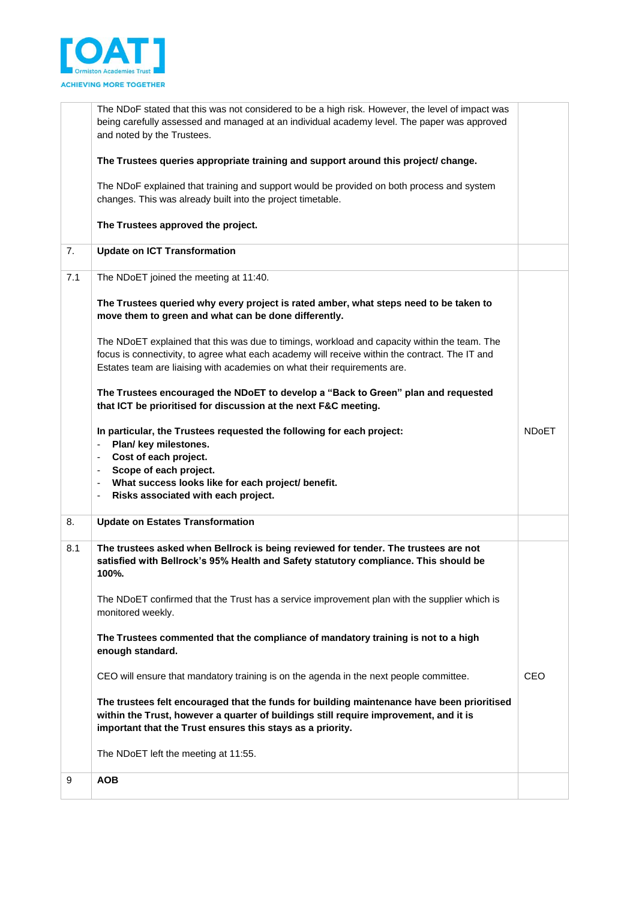

|     | The NDoF stated that this was not considered to be a high risk. However, the level of impact was<br>being carefully assessed and managed at an individual academy level. The paper was approved<br>and noted by the Trustees.                                                                                                                                               |              |
|-----|-----------------------------------------------------------------------------------------------------------------------------------------------------------------------------------------------------------------------------------------------------------------------------------------------------------------------------------------------------------------------------|--------------|
|     | The Trustees queries appropriate training and support around this project/ change.                                                                                                                                                                                                                                                                                          |              |
|     | The NDoF explained that training and support would be provided on both process and system<br>changes. This was already built into the project timetable.                                                                                                                                                                                                                    |              |
|     | The Trustees approved the project.                                                                                                                                                                                                                                                                                                                                          |              |
| 7.  | <b>Update on ICT Transformation</b>                                                                                                                                                                                                                                                                                                                                         |              |
| 7.1 | The NDoET joined the meeting at 11:40.                                                                                                                                                                                                                                                                                                                                      |              |
|     | The Trustees queried why every project is rated amber, what steps need to be taken to<br>move them to green and what can be done differently.                                                                                                                                                                                                                               |              |
|     | The NDoET explained that this was due to timings, workload and capacity within the team. The<br>focus is connectivity, to agree what each academy will receive within the contract. The IT and<br>Estates team are liaising with academies on what their requirements are.                                                                                                  |              |
|     | The Trustees encouraged the NDoET to develop a "Back to Green" plan and requested<br>that ICT be prioritised for discussion at the next F&C meeting.                                                                                                                                                                                                                        |              |
|     | In particular, the Trustees requested the following for each project:<br>Plan/ key milestones.<br>÷<br>Cost of each project.<br>$\overline{\phantom{a}}$<br>Scope of each project.<br>$\qquad \qquad \blacksquare$<br>What success looks like for each project/ benefit.<br>$\qquad \qquad \blacksquare$<br>Risks associated with each project.<br>$\overline{\phantom{0}}$ | <b>NDoET</b> |
| 8.  | <b>Update on Estates Transformation</b>                                                                                                                                                                                                                                                                                                                                     |              |
| 8.1 | The trustees asked when Bellrock is being reviewed for tender. The trustees are not<br>satisfied with Bellrock's 95% Health and Safety statutory compliance. This should be<br>100%.                                                                                                                                                                                        |              |
|     | The NDoET confirmed that the Trust has a service improvement plan with the supplier which is<br>monitored weekly.                                                                                                                                                                                                                                                           |              |
|     | The Trustees commented that the compliance of mandatory training is not to a high<br>enough standard.                                                                                                                                                                                                                                                                       |              |
|     |                                                                                                                                                                                                                                                                                                                                                                             |              |
|     | CEO will ensure that mandatory training is on the agenda in the next people committee.                                                                                                                                                                                                                                                                                      | <b>CEO</b>   |
|     | The trustees felt encouraged that the funds for building maintenance have been prioritised<br>within the Trust, however a quarter of buildings still require improvement, and it is<br>important that the Trust ensures this stays as a priority.                                                                                                                           |              |
|     | The NDoET left the meeting at 11:55.                                                                                                                                                                                                                                                                                                                                        |              |